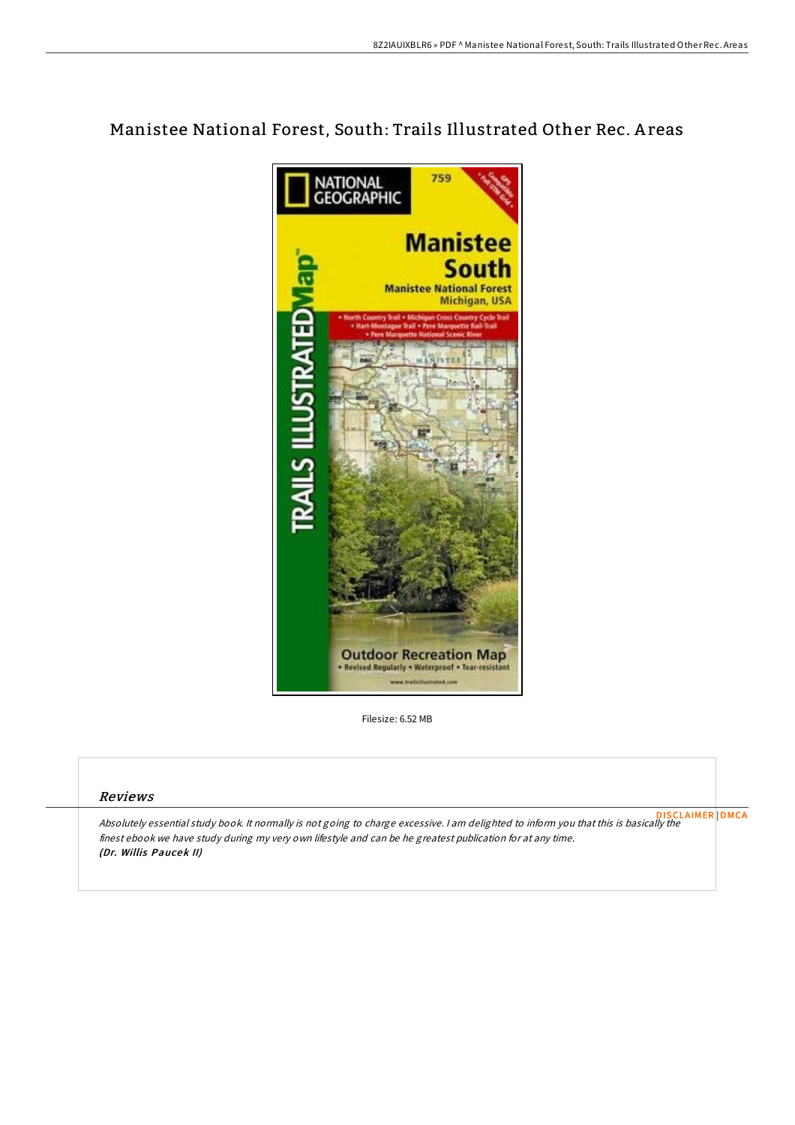## Manistee National Forest, South: Trails Illustrated Other Rec. A reas



Filesize: 6.52 MB

## Reviews

Absolutely essential study book. It normally is not going to charge excessive. <sup>I</sup> am delighted to inform you that this is basically the finest ebook we have study during my very own lifestyle and can be he greatest publication for at any time. (Dr. Willis Paucek II) [DISCLAIMER](http://almighty24.tech/disclaimer.html) [DMCA](http://almighty24.tech/dmca.html)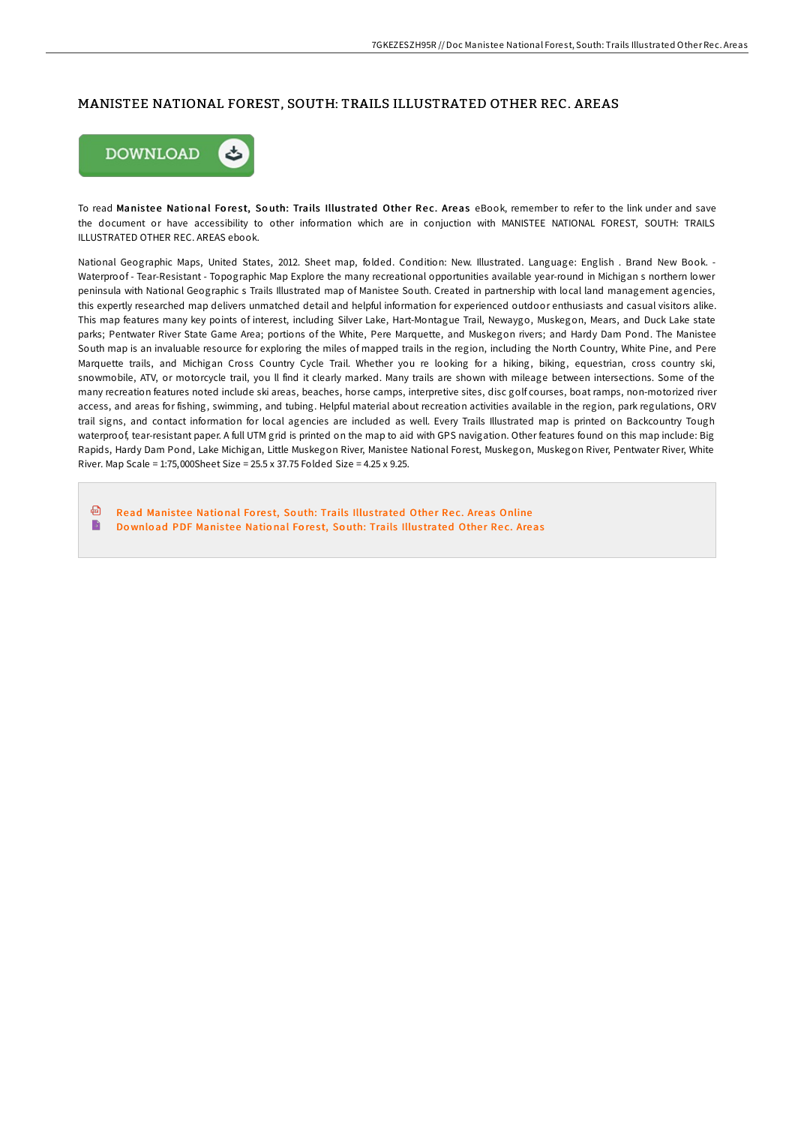## MANISTEE NATIONAL FOREST, SOUTH: TRAILS ILLUSTRATED OTHER REC. AREAS



To read Manistee National Forest, South: Trails Illustrated Other Rec. Areas eBook, remember to refer to the link under and save the document or have accessibility to other information which are in conjuction with MANISTEE NATIONAL FOREST, SOUTH: TRAILS ILLUSTRATED OTHER REC. AREAS ebook.

National Geographic Maps, United States, 2012. Sheet map, folded. Condition: New. Illustrated. Language: English . Brand New Book. - Waterproof - Tear-Resistant - Topographic Map Explore the many recreational opportunities available year-round in Michigan s northern lower peninsula with National Geographic s Trails Illustrated map of Manistee South. Created in partnership with local land management agencies, this expertly researched map delivers unmatched detail and helpful information for experienced outdoor enthusiasts and casual visitors alike. This map features many key points of interest, including Silver Lake, Hart-Montague Trail, Newaygo, Muskegon, Mears, and Duck Lake state parks; Pentwater River State Game Area; portions of the White, Pere Marquette, and Muskegon rivers; and Hardy Dam Pond. The Manistee South map is an invaluable resource for exploring the miles of mapped trails in the region, including the North Country, White Pine, and Pere Marquette trails, and Michigan Cross Country Cycle Trail. Whether you re looking for a hiking, biking, equestrian, cross country ski, snowmobile, ATV, or motorcycle trail, you ll find it clearly marked. Many trails are shown with mileage between intersections. Some of the many recreation features noted include ski areas, beaches, horse camps, interpretive sites, disc golf courses, boat ramps, non-motorized river access, and areas for fishing, swimming, and tubing. Helpful material about recreation activities available in the region, park regulations, ORV trail signs, and contact information for local agencies are included as well. Every Trails Illustrated map is printed on Backcountry Tough waterproof, tear-resistant paper. A full UTM grid is printed on the map to aid with GPS navigation. Other features found on this map include: Big Rapids, Hardy Dam Pond, Lake Michigan, Little Muskegon River, Manistee National Forest, Muskegon, Muskegon River, Pentwater River, White River. Map Scale = 1:75,000Sheet Size = 25.5 x 37.75 Folded Size = 4.25 x 9.25.

品 Read Manistee National Forest, South: Trails Illustrated Other Rec. Areas [Online](http://almighty24.tech/manistee-national-forest-south-trails-illustrate.html) B Do wnload PDF Manistee National Forest, South: Trails Illus[trated](http://almighty24.tech/manistee-national-forest-south-trails-illustrate.html) Other Rec. Areas